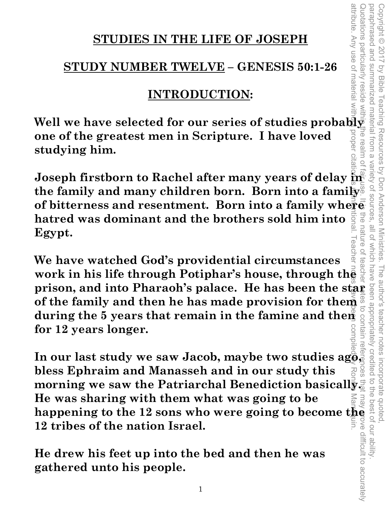# **STUDIES IN THE LIFE OF JOSEPH**

# **STUDY NUMBER TWELVE – GENESIS 50:1-26**

# **INTRODUCTION:**

**Well we have selected for our series of studies probably one of the greatest men in Scripture. I have loved studying him.** 

**Joseph firstborn to Rachel after many years of delay in the family and many children born. Born into a family of bitterness and resentment. Born into a family where hatred was dominant and the brothers sold him into Egypt.** 

**We have watched God's providential circumstances**  work in his life through Potiphar's house, through the **prison, and into Pharaoh's palace. He has been the star of the family and then he has made provision for them and during the 5 years that remain in the famine and them and the summer for 12 years longer.<br>
In our last stud of the family and then he has made provision for them**  during the 5 years that remain in the famine and then **for 12 years longer.**  attribute. Any use of material without proper citation is unintentional. Teacher notes have been compiled by Ronnie Marroquin.

**In our last study we saw Jacob, maybe two studies ago, bless Ephraim and Manasseh and in our study this morning we saw the Patriarchal Benediction basically. He was sharing with them what was going to be happening to the 12 sons who were going to become the 12 tribes of the nation Israel.** 

**He drew his feet up into the bed and then he was gathered unto his people.** 

attribute. Any use of materia

 $\overline{\overline{\omega}}$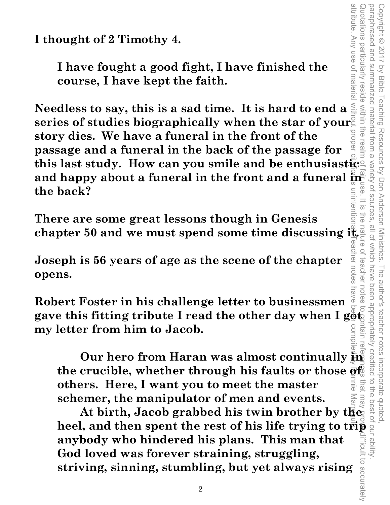**I thought of 2 Timothy 4.** 

**I have fought a good fight, I have finished the course, I have kept the faith.** 

attribute. Any use of material without proper citation is unintentional. Teacher notes have been compiled by Ronnie Marroquin. **Needless to say, this is a sad time. It is hard to end a series of studies biographically when the star of your story dies. We have a funeral in the front of the passage and a funeral in the back of the passage for this last study. How can you smile and be enthusiastic**  and happy about a funeral in the front and a funeral  $\frac{1}{2}$ **the back?**  llutel

**There are some great lessons though in Genesis chapter 50 and we must spend some time discussing**  $\frac{1}{\sigma}$  Copyright © 2017 by Bible Teaching Resources by Don Anderson Ministries. The author's teacher notes incorporate quoted,

The author's teacher notes

been appropriately credited

Ξü

Teaching Resources by Don Anderson Ministries.

paraphrased and summarized material from a variety of sources, all of which have been appropriately credited to the best of our ability.

all of which have  $Q$ 

teachel uores

attribute. Any use of materia

wotations particularly

paraphrased and Copyright © 2017

summarized material

trom a **Tea** 

Variety of sources **SG** 

 $\frac{1}{2}$ 

reside within the

Vy Bible

**Joseph is 56 years of age as the scene of the chapter opens.** 

**Robert Foster in his challenge letter to businessmen gave this fitting tribute I read the other day when I got, my letter from him to Jacob.** 

**Our hero from Haran was almost continually in**  the crucible, whether through his faults or those  $\overline{\mathfrak{g}}_{\mathbb{R}}^{\mathbb{C}}$ **others. Here, I want you to meet the master schemer, the manipulator of men and events.** 

Quotations particularly reside within the realm of fair use. It is the nature of teacher notes to contain references that may prove difficult to accurately **Our hero from Haran was almost continually**  $\mu_{\overline{B}}$  **as set the crucible, whether through his faults or those**  $\overline{\text{or}}_{\overline{B}}^{\text{fl}}$  **as obthers. Here, I want you to meet the master schemer, the manipulator of men and e At birth, Jacob grabbed his twin brother by the**  difficult to accurately **anybody who hindered his plans. This man that God loved was forever straining, struggling, striving, sinning, stumbling, but yet always rising** 

2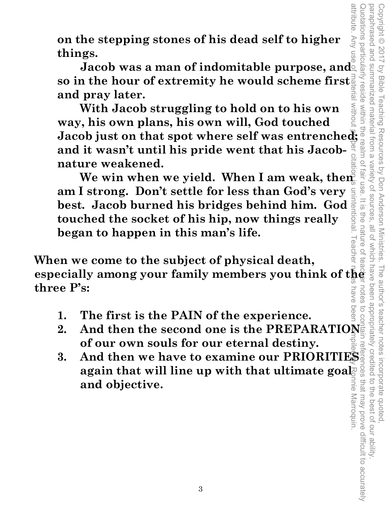**on the stepping stones of his dead self to higher things.** 

**Jacob was a man of indomitable purpose, and so in the hour of extremity he would scheme first and pray later.** 

on the stepping stones of his dead self to higher<br>things.<br>
Jacob was a man of indomitable purpose, and<br>
so in the hour of extremity he would scheme first<br>
and pray later.<br>
With Jacob struggling to hold on to his own<br>
way, **MITNOI With Jacob struggling to hold on to his own way, his own plans, his own will, God touched and it wasn't until his pride went that his Jacobnature weakened.**   $\overline{\omega}$ 

We win when we yield. When I am weak, then **am I strong. Don't settle for less than God's very best. Jacob burned his bridges behind him. God**  $\frac{1}{2}$  **touched the socket of his hip, now things really touched the socket of his hip, now things really began to happen in this man's life.** 

leache **When we come to the subject of physical death, especially among your family members you think of the three P's:**  nave

- **1. The first is the PAIN of the experience.**
- **2.** And then the second one is the PREPARATIONE<br>
of our own souls for our eternal destiny.<br> **3.** And then we have to examine our PRIORITIES **of our own souls for our eternal destiny.**
- **3. And then we have to examine our PRIORITIES again that will line up with that ultimate goal and objective.**  nie Marroquin.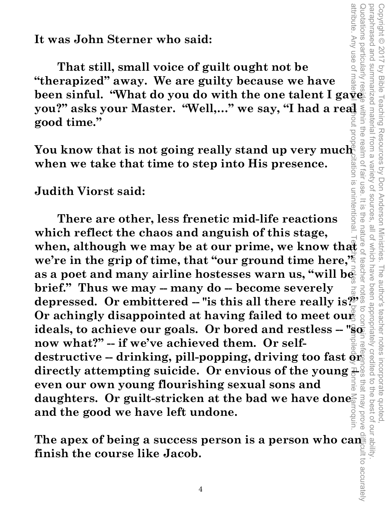**It was John Sterner who said:** 

 **That still, small voice of guilt ought not be "therapized" away. We are guilty because we have**  been sinful. "What do you do with the one talent I ga<del>ve and</del> **good time."** 

**you?" asks your Master. "Well,..." we say, "I had a real sumpty and time."**<br> **you time."**<br>
You know that is not going really stand up very much<br>
when we take that time to step into His presence.<br>
Judith Viorst said: **You know that is not going really stand up very much when we take that time to step into His presence.** 

Copyright © 2017 by Bible Teaching Resources by Don Anderson Ministries. The author's teacher notes incorporate quoted,

by Bible Teaching Resources by Don Anderson Ministries.

paraphrased and summarized material from a variety of sources, all of which have been appropriately credited to the best of our ability.

all of Which have

The author's teacher notes incorporate quoted,<br>I have been appropriately credited to the best of our ability

Variety of sources

 $\overline{5}$ 

paraphrased and Copyright © 2017

summarized material from a

**Judith Viorst said:** 

attribute. Any use of material without proper citation is unintentional. Teacher notes have been compiled by Ronnie Marroquin. Quotations particularly reside within the realm of fair use. It is the nature of teacher notes to contain references that may prove difficult to accurately **Example Unitentional** FIG<br>O  **There are other, less frenetic mid-life reactions**  which reflect the chaos and anguish of this stage,  $\frac{a}{d}$   $\frac{a}{d}$  when, although we may be at our prime, we know that **which reflect the chaos and anguish of this stage, we're in the grip of time, that "our ground time here,"**  teache **as a poet and many airline hostesses warn us, "will be depressed.** Or embittered -- "is this all there really is?"<br>Or achingly disappointed at having failed to meet our a **brief." Thus we may -- many do -- become severely Or achingly disappointed at having failed to meet our** ideals, to achieve our goals. Or bored and restless -- "so **now what?" -- if we've achieved them. Or self**destructive -- drinking, pill-popping, driving too fast  $\frac{8}{910}$ directly attempting suicide. Or envious of the young that may prove **even our own young flourishing sexual sons and**  daughters. Or guilt-stricken at the bad we have done<sup>5</sup> **and the good we have left undone.** 

The apex of being a success person is a person who can<sup>ti</sup> **finish the course like Jacob.**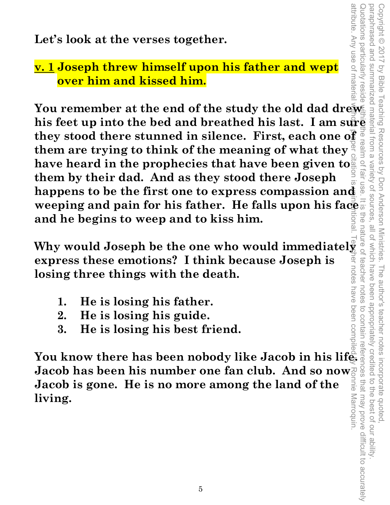**Let's look at the verses together.** 

### **v. 1 Joseph threw himself upon his father and wept over him and kissed him.**

You remember at the end of the study the old dad drew Let's look at the verses together.<br> **het's look at the verses together.**<br> **his father and wept**<br> **his form in and kissed him.**<br>
You remember at the end of the study the old dad dress and<br>
they stood there stunned in silen **they stood there stunned in silence. First, each one of them are trying to think of the meaning of what they have heard in the prophecies that have been given to them by their dad. And as they stood there Joseph happens to be the first one to express compassion and weeping and pain for his father. He falls upon his face and he begins to weep and to kiss him.** 

**All is a set of the sequel vertex conditions of the one who would immediately a sequence who would immediately a sequence who would immediately a sequence who would immediately a sequence who would immediately a sequence ner notes express these emotions? I think because Joseph is losing three things with the death.** 

- **1. He is losing his father.**
- **2. He is losing his guide.**
- **3. He is losing his best friend.**

**You know there has been nobody like Jacob in his life. Jacob has been his number one fan club. And so now Jacob is gone. He is no more among the land of the living.**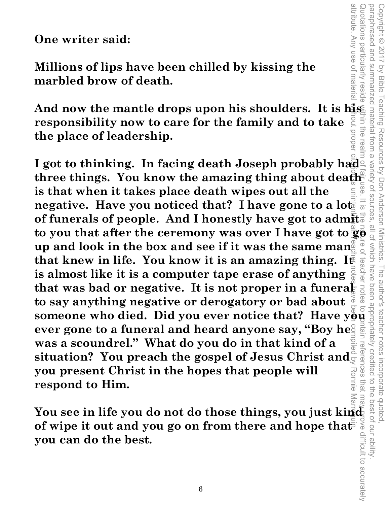attribute. Any use of materia attribute. Any use of material without proper citation is unintentional. Teacher notes have been compiled by Ronnie Marroquin. Quotations particularly reside within the realm of fair use. It is the naure of teacher notes to contain references that may prove difficult to accurately Quotations particularly paraphrased and paraphrased and summarized material from a variety of sources, all of which have been appropriately credited to the best of our ability. Copyright © 2017 by Bible Copyright © 2017 by Bible Teaching Resources by Don Anderson Ministries. The author's teacher notes incorporate quoted, summarized material from a variety of sources Lesloe Teaching Resources by Don Anderson Ministries. iin the rea The author's teacher notes incorporate quotec references that ma Ronnie  $\overrightarrow{C}$ -ue best of our ability

**One writer said:** 

**Millions of lips have been chilled by kissing the marbled brow of death.** 

And now the mantle drops upon his shoulders. It is his **responsibility now to care for the family and to take the place of leadership.** 

I got to thinking. In facing death Joseph probably had<sup>2</sup> **three things. You know the amazing thing about death is that when it takes place death wipes out all the negative. Have you noticed that? I have gone to a loter of funerals of people. And I honestly have got to admit**  to you that after the ceremony was over I have got to  $\frac{1}{36}$   $\frac{1}{36}$  up and look in the box and see if it was the same manage  $\frac{1}{36}$   $\frac{1}{36}$  and that knew in life. You know it is an amazing thing. If is almo **up and look in the box and see if it was the same mang that knew in life. You know it is an amazing thing. It is almost like it is a computer tape erase of anything**  that was bad or negative. It is not proper in a funeral **to say anything negative or derogatory or bad about**  that was bad or negative. It is not proper in a funeral is to say anything negative or derogatory or bad about someone who died. Did you ever notice that? Have  $y\ddot{\theta}y\ddot{\theta}y$  ever gone to a funeral and heard anyone say **ever gone to a funeral and heard anyone say, "Boy he. was a scoundrel." What do you do in that kind of a situation? You preach the gospel of Jesus Christ and you present Christ in the hopes that people will respond to Him.** 

You see in life you do not do those things, you just kind<br>of wipe it out and you go on from there and hope that<br>you can do the best. of wipe it out and you go on from there and hope that<sup>7</sup> **you can do the best.**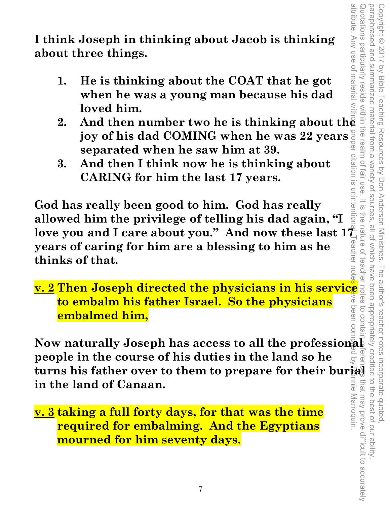attribute. Any use of material without proper citation is unintentional. Teacher notes have been compiled by Ronnie Marroquin. Quotations particularly reside within the realm of fair use. It is the nature of teacher notes to contain references that may prove difficult to accurately paraphrased and summarized material from a variety of sources paraphrased and summarized material from a variety of sources, all of which have been appropriately credited to the best of our ability. Copyright © 2017 by Bible Teaching Resources by Don Anderson Ministries. Copyright © 2017 by Bible Teaching Resources by Don Anderson Ministries. The author's teacher notes incorporate quoted, citation is unintentit  $=$   $\frac{1}{2}$ ine that may prove difficult to accurately nne Marroquin.

**I think Joseph in thinking about Jacob is thinking about three things.** 

- **1. He is thinking about the COAT that he got when he was a young man because his dad loved him.**
- **2. And then number two he is thinking about the joy of his dad COMING when he was 22 years separated when he saw him at 39.**
- **3. And then I think now he is thinking about CARING for him the last 17 years.**

**God has really been good to him. God has really allowed him the privilege of telling his dad again, "I**  love you and I care about you." And now these last  $1\frac{7}{4}$  years of caring for him are a blessing to him as he<br>thinks of that. **years of caring for him are a blessing to him as he thinks of that.** 

**v. 2 Then Joseph directed the physicians in his service to embalm his father Israel. So the physicians embalmed him,** 

**Now naturally Joseph has access to all the professional people in the course of his duties in the land so he the vou and I care about you." And now these last**  $1\overline{t}$  **is a set of carring for him are a blessing to him as he<br>
thinks of that.**<br> **v. 2 Then Joseph directed the physicians in his service**<br> **to embalm his father Isra in the land of Canaan.** 

**v. 3 taking a full forty days, for that was the time required for embalming. And the Egyptians mourned for him seventy days.**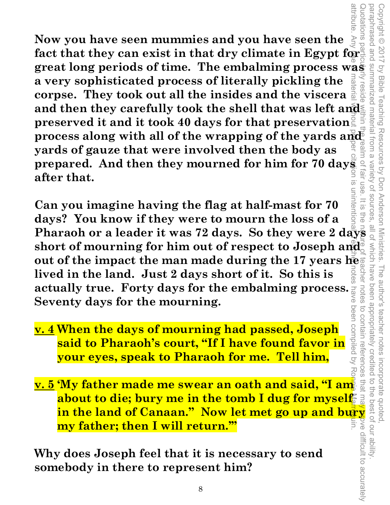**Now you have seen mummies and you have seen the fact that they can exist in that dry climate in Egypt for great long periods of time. The embalming process was a very sophisticated process of literally pickling the corpse. They took out all the insides and the viscera and then they carefully took the shell that was left and preserved it and it took 40 days for that preservation process along with all of the wrapping of the yards and yards of gauze that were involved then the body as prepared. And then they mourned for him for 70 days after that.**  attribute. Any ree 55 material without proper citation is unintentional. Teacher notes have been compiled by Ronnie Marroquin.

**Can you imagine having the flag at half-mast for 70 days? You know if they were to mourn the loss of a**  Pharaoh or a leader it was 72 days. So they were 2 days **short of mourning for him out of respect to Joseph and out of the impact the man made during the 17 years he lived in the land. Just 2 days short of it. So this is actually true. Forty days for the embalming process. Seventy days for the mourning.**  been compiled by

- **v. 4 When the days of mourning had passed, Joseph said to Pharaoh's court, "If I have found favor in your eyes, speak to Pharaoh for me. Tell him,**
- **v. 5 'My father made me swear an oath and said, "I am about to die; bury me in the tomb I dug for myself in the land of Canaan." Now let met go up and bury my father; then I will return.'"**

**Why does Joseph feel that it is necessary to send somebody in there to represent him?**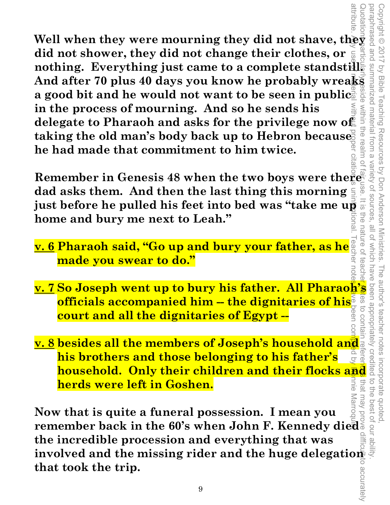Well when they were mourning they did not shave, they all<br>did not shower, they did not change their clothes, or **did not shower, they did not change their clothes, or nothing. Everything just came to a complete standstill. And after 70 plus 40 days you know he probably wreaks a good bit and he would not want to be seen in public. in the process of mourning. And so he sends his delegate to Pharaoh and asks for the privilege now of taking the old man's body back up to Hebron because he had made that commitment to him twice.**  attribute. Any use of material without proper citations unintentional. Teacher notes the been compuls of Ponnie Marroquin.

**Remember in Genesis 48 when the two boys were there dad asks them. And then the last thing this morning just before he pulled his feet into bed was "take me up"**<br>home and bury me next to Leah." **home and bury me next to Leah."** 

Copyright © 2017 by Bible Teaching Resources by Don Anderson Ministries. The author's teacher notes incorporate quoted,

Copyright © 2017 by Bible Teaching Resources by Don Anderson Ministries.

Summarized material from a within

the realm of

paraphrased and summarized material from a variety of sources, all of which have been appropriately credited to the best of our ability.

all of

Which have teache

The author's teacher notes

Variety of sources

- **v. 6 Pharaoh said, "Go up and bury your father, as he made you swear to do."**
- **<u>v. 7</u> So Joseph went up to bury his father. All Pharaoh's officials accompanied him the dignitaries of his**  $\frac{1}{6}$  **and court and all the dignitaries of Egypt –<br>
<b>v. 8** besides all the members of Joseph's household an **officials accompanied him -- the dignitaries of his IIBILIOO 01 court and all the dignitaries of Egypt --**
- **v. 8 besides all the members of Joseph's household and his brothers and those belonging to his father's**  that **herds were left in Goshen.**  i<br>UIG

**household. Only their children and their flocks and<br>
herds were left in Goshen.**<br>
w that is quite a funeral possession. I mean you<br>
incredible procession and everything that was<br>
incredible procession and everything that **Now that is quite a funeral possession. I mean you remember back in the 60's when John F. Kennedy died the incredible procession and everything that was**  involved and the missing rider and the huge delegation-<br>that took the trip.<br><sup>9</sup> **that took the trip.**  Quotations particularly reside within the realm of fair use. It is the nature of teacher Mites to contain references that may prove difficult to accurately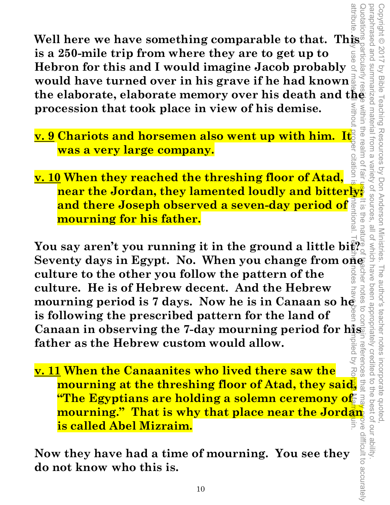**Well here we have something comparable to that. This is a 250-mile trip from where they are to get up to Hebron for this and I would imagine Jacob probably would have turned over in his grave if he had known the discrete in the elaborate memory over his death and the procession that took place in view of his demised in the procession that took place in view of his demised was a very large company. procession that took place in view of his demise.** 

- **v. 9 Chariots and horsemen also went up with him. It was a very large company.**
- **v. 10 When they reached the threshing floor of Atad, near the Jordan, they lamented loudly and bitterly; and there Joseph observed a seven-day period of mourning for his father.**

Copyright © 2017 by Bible Teaching Resources by Don Anderson Ministries. The author's teacher notes incorporate quoted,

The author's teacher notes

incorporate quoted

been appropriately creditec

Copyright © 2017 by Bible Teaching Resources by Don Anderson Ministries.

within the realm

 $\circ$ 2

 $\overline{\underline{\omega}}$ 

 $\frac{1}{2}$ 

paraphrased and summarized material from a variety of sources, all of which have been appropriately credited to the best of our ability.

all of Which have

Variety of sources

attribute. Any use of material without proper citation is unintentional. Teacher notes have been compiled by Ronnie Marroquin. Quotations particularly reside within the realm of fair use. It is the nature of teacher notes to contain references that may prove difficult to accurately You say aren't you running it in the ground a little bi $\mathbb{R}^{\frac{1}{2}}$ Seventy days in Egypt. No. When you change from  $\overline{0}$ che **culture to the other you follow the pattern of the culture. He is of Hebrew decent. And the Hebrew**  notes **mourning period is 7 days. Now he is in Canaan so he**   $\overline{c}$ **is following the prescribed pattern for the land of Canaan in observing the 7-day mourning period for his father as the Hebrew custom would allow.** 

**v. 11 When the Canaanites who lived there saw the mourning at the threshing floor of Atad, they said,**  <u>"The Egyptians are holding a solemn ceremony of "</u> **mourning." That is why that place near the Jordan is called Abel Mizraim.** 

**Now they have had a time of mourning. You see they do not know who this is.**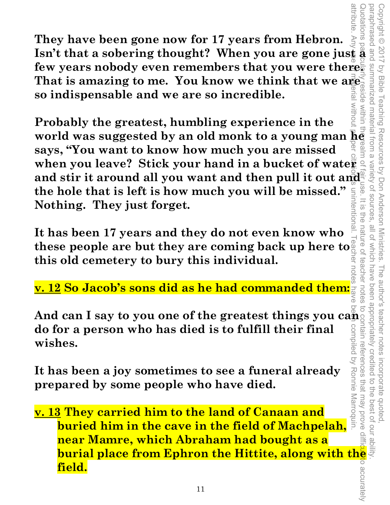**They have been gone now for 17 years from Hebron. Isn't that a sobering thought? When you are gone just a few years nobody even remembers that you were there. That is amazing to me. You know we think that we are so indispensable and we are so incredible.**  attribute. Any use of material without proper citation is unintentional. Teacher notes have been compiled by Ronnie Marroquin.

**Probably the greatest, humbling experience in the**  world was suggested by an old monk to a young man  $\overline{\mathbf{h}}\mathbf{e}$ **says, "You want to know how much you are missed**  when you leave? Stick your hand in a bucket of water and stir it around all you want and then pull it out and **the hole that is left is how much you will be missed." Nothing. They just forget.**   $\bar{\vec{\sigma}}$ 

**It has been 17 years and they do not even know who these people are but they are coming back up here to**  こ<br>の **this old cemetery to bury this individual.** 

Copyright © 2017 by Bible Teaching Resources by Don Anderson Ministries. The author's teacher notes incorporate quoted,

The author's teacher notes

been appropriately credited

Teaching Resources by Don Anderson Ministries.

vanety

OT SOUITCES

 $\overline{\omega}$ 금<br>이

nature o

reacher

notes ≲

Copyright © 2017

by Bible

summarized material from a

within

uotations

paraphrased and summarized material from a variety of sources, all of which have been appropriately credited to the best of our ability.

all of which have

**v. 12 So Jacob's sons did as he had commanded them:** 

**And can I say to you one of the greatest things you can do for a person who has died is to fulfill their final wishes.** 

**It has been a joy sometimes to see a funeral already prepared by some people who have died.** 

**v. 13 They carried him to the land of Canaan and buried him in the cave in the field of Machpelah, near Mamre, which Abraham had bought as a as been a joy sometimes to see a funeral already**<br> **buried by some people who have died.**<br> **buried him to the land of Canaan and<br>
<b>buried him in the cave in the field of Machpelah,**<br> **hear Mamre, which Abraham had bought field.**  Quotations particularly reside within the realm of fair use. It is the nature of teacher notes to contain references that may prove difficultion accurately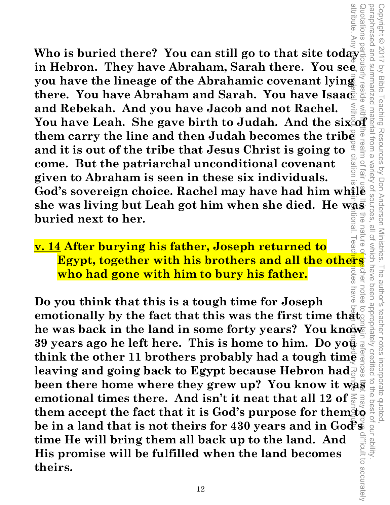attribute. Any use of material without proper citation is unintentional. Teacher notes have been compiled by Ronnie Marroquin. **Who is buried there? You can still go to that site today in Hebron. They have Abraham, Sarah there. You see you have the lineage of the Abrahamic covenant lying there. You have Abraham and Sarah. You have Isaac**   $\geq$ **and Rebekah. And you have Jacob and not Rachel.**  and Rebekah. And you have Jacob and not Rachel.<br>
You have Leah. She gave birth to Judah. And the sixed and<br>
them carry the line and then Judah becomes the tribe<br>
and it is out of the tribe that Jesus Christ is going to **them carry the line and then Judah becomes the tribe and it is out of the tribe that Jesus Christ is going to**   $\overline{C}$ **come. But the patriarchal unconditional covenant given to Abraham is seen in these six individuals. God's sovereign choice. Rachel may have had him while she was living but Leah got him when she died. He was buried next to her.** 

#### **v. 14 After burying his father, Joseph returned to**  notes chel **who had gone with him to bury his father.**

Copyright © 2017 by Bible Teaching Resources by Don Anderson Ministries. The author's teacher notes incorporate quoted,

by Bible Teaching Resources by Don Anderson Ministries.

paraphrased and summarized material from a variety of sources, all of which have been appropriately credited to the best of our ability.

**Uave** 

all oi

attribute

uotations

paraphrased and Copyright © 2017

**SUIMMARIZED** 

Quotations particularly reside with the realm of fair use It is the nature of teacher notes to contain references trait may prove difficult to accurately **Egypt, together with his brothers and all the others who had gone with him to bury his father.**<br>
you think that this is a tough time for Joseph<br>
you think that this is a tough time for Joseph<br>
stionally by the fact that notes **Do you think that this is a tough time for Joseph emotionally by the fact that this was the first time that. he was back in the land in some forty years? You know 39 years ago he left here. This is home to him. Do you think the other 11 brothers probably had a tough time leaving and going back to Egypt because Hebron had**  been there home where they grew up? You know it was **emotional times there. And isn't it neat that all 12 of them accept the fact that it is God's purpose for them to be in a land that is not theirs for 430 years and in God's**  difficult to accurately **time He will bring them all back up to the land. And His promise will be fulfilled when the land becomes theirs.**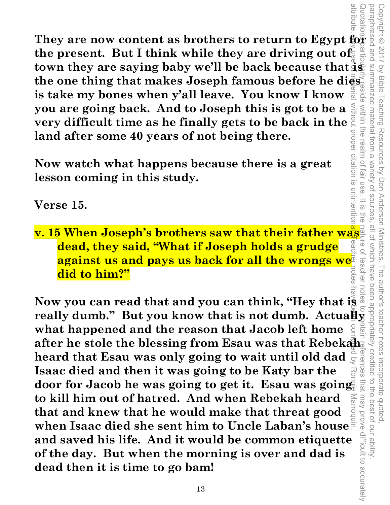They are now content as brothers to return to Egypt for a set<br>the present. But I think while they are driving out of the present. But I think while they are driving out of **town they are saying baby we'll be back because that is the one thing that makes Joseph famous before he dies is take my bones when y'all leave. You know I know you are going back. And to Joseph this is got to be a very difficult time as he finally gets to be back in the**  propel **land after some 40 years of not being there.** 

**Now watch what happens because there is a great lesson coming in this study.** 

**Verse 15.** 

**v. 15 When Joseph's brothers saw that their father was dead, they said, "What if Joseph holds a grudge against us and pays us back for all the wrongs we<sup>s</sup><br>did to him?" did to him?"** 

Copyright © 2017 by Bible Teaching Resources by Don Anderson Ministries. The author's teacher notes incorporate quoted,

The author's teacher notes

incorporate quoted,<br>edited to the best of our ability

Teaching Resources by Don Anderson Ministries.

Copyright © 2017 by Bible

summarized material

within the realm of fair use

citation is unintention

trom a

variety of sources

paraphrased and summarized material from a variety of sources, all of which have been appropriately credited to the best of our ability.

all of which have

Quotations particularly reside within the realm of fair use. It is the nature of teacher notes to sontain references that may prove difficult to accurately

teacher

 $\frac{1}{2}$ 

aut<br>a

attribute. Any use of material without proper citation is unintentional. Teacher notes have been compiled by Ronnie Marroquin. Now you can read that and you can think, "Hey that is  $\frac{2}{3}$ <br>really dumb." But you know that is not dumb. Actually<br>what happened and the reason that Jacob left home  $\frac{2}{3}$ <br>after he stole the blessing from Esau was th **Now you can read that and you can think, "Hey that is what happened and the reason that Jacob left home**  after he stole the blessing from Esau was that Rebekah heard that Esau was only going to wait until old dad  $\frac{3}{5}$ <br>Isaac died and then it was going to be Katy bar the **heard that Esau was only going to wait until old dad Isaac died and then it was going to be Katy bar the door for Jacob he was going to get it. Esau was going**  that may prove difficult to accurately **to kill him out of hatred. And when Rebekah heard that and knew that he would make that threat good when Isaac died she sent him to Uncle Laban's house and saved his life. And it would be common etiquette of the day. But when the morning is over and dad is dead then it is time to go bam!**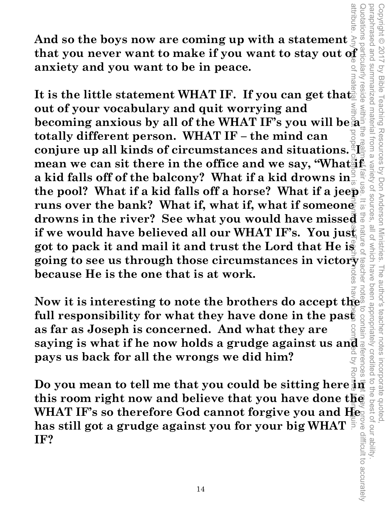**And so the boys now are coming up with a statement**  that you never want to make if you want to stay out of **a series anxiety and you want to be in peace. anxiety and you want to be in peace.** 

attribute. Any the of material without proper citation is unintention is unintention is unintention is a separation on proper citation is the latter material without material without any the latter separation is uning a s Quotations particularly reside within the realm of fair use. It is the nature of teacher notes to contain references that may prove difficult to accurately reside It is the little statement WHAT IF. If you can get that **out of your vocabulary and quit worrying and becoming anxious by all of the WHAT IF's you will be a totally different person. WHAT IF – the mind can conjure up all kinds of circumstances and situations.** mean we can sit there in the office and we say, "What<sup>d</sup> **a kid falls off of the balcony? What if a kid drowns in the pool? What if a kid falls off a horse? What if a jeep runs over the bank? What if, what if, what if someone drowns in the river? See what you would have missed if we would have believed all our WHAT IF's. You just got to pack it and mail it and trust the Lord that He is going to see us through those circumstances in victory because He is the one that is at work.** 

Copyright © 2017 by Bible Teaching Resources by Don Anderson Ministries. The author's teacher notes incorporate quoted,

The author's teacher notes

been appropriately creditec

Teaching Resources by Don Anderson Ministries.

paraphrased and summarized material from a variety of sources, all of which have been appropriately credited to the best of our ability.

which have

**all of** 

Variety of sources

paraphrased and Copyright © 2017

**SUIMMARIZED** by Bible

materia

notations

**Now it is interesting to note the brothers do accept the full responsibility for what they have done in the past as far as Joseph is concerned. And what they are saying is what if he now holds a grudge against us and a pays us back for all the wrongs we did him? pays us back for all the wrongs we did him?**   $\overline{C}$ 

**Pays us back for all the wrongs we did him?**<br>
Do you mean to tell me that you could be sitting here  $\frac{3}{2}$  and  $\frac{3}{2}$  and  $\frac{3}{2}$  and  $\frac{3}{2}$  and this room right now and believe that you have done there  $\frac{3}{2}$ **this room right now and believe that you have done the WHAT IF's so therefore God cannot forgive you and He has still got a grudge against you for your big WHAT IF?**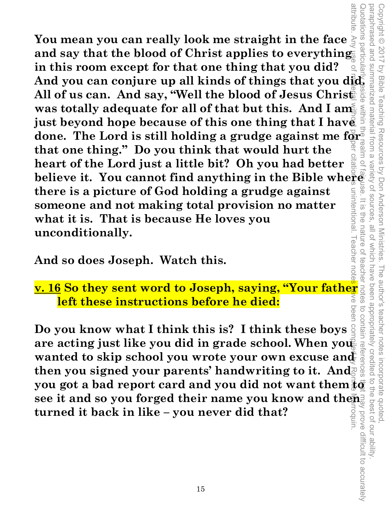You mean you can really look me straight in the face  $\frac{3}{2}$  and say that the blood of Christ applies to everything in this room except for that one thing that you did?  $\frac{3}{2}$  and  $\frac{3}{2}$  and you can conjure up all attribute. Any use of material without proper citation is unintentional. Teacher notes have been compiled by Ronnie Marroquin. eluotations particula **You mean you can really look me straight in the face and say that the blood of Christ applies to everything in this room except for that one thing that you did?**  All of us can. And say, "Well the blood of Jesus Christ" was totally adequate for all of that but this. And I am **just beyond hope because of this one thing that I have done. The Lord is still holding a grudge against me for that one thing." Do you think that would hurt the heart of the Lord just a little bit? Oh you had better believe it. You cannot find anything in the Bible where<br>there is a picture of God holding a grudge against there is a picture of God holding a grudge against**  unintentional. I eacher note **someone and not making total provision no matter what it is. That is because He loves you**  nature of **unconditionally.** 

Copyright © 2017 by Bible Teaching Resources by Don Anderson Ministries. The author's teacher notes incorporate quoted,

Copyright © 2017 by Bible Teaching Resources by Don Anderson Ministries.

paraphrased and summarized material from a variety of sources, all of which have been appropriately credited to the best of our ability.

all of which have

variety of sources

 $\overline{O}$ 

 $rac{1}{\sqrt{2}}$ 

ine

teachel

annonne

**And so does Joseph. Watch this.** 

**v. 16 So they sent word to Joseph, saying, "Your father left these instructions before he died:** 

**Do you know what I think this is? I think these boys are acting just like you did in grade school. When you**  $\bar{\mathbf{z}}$ wanted to skip school you wrote your own excuse and **then you signed your parents' handwriting to it. And y. 16 So they sent word to Joseph, saying, "Your father"**<br> **y. 16 So they sent word to Joseph, saying, "Your father"**<br>
Do you know what I think this is? I think these boys and a sense of a sense of a sense are acting jus **see it and so you forged their name you know and then turned it back in like – you never did that?**  Quotations particularly reside within the realm of fair use. It is the nature of teacher notes to contain references that may prove difficult to accurately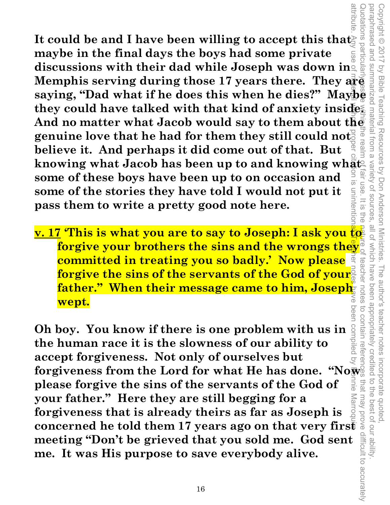attribute. Any use of material with a proper citation is unintentional. Teacher notes have been compiled by Ronnie Marroquin. Quotations particularly reside within the realm of fair use. It is the nature of teacher notes to contain references that may prove difficult to accurately suotations It could be and I have been willing to accept this that **maybe in the final days the boys had some private**  discussions with their dad while Joseph was down in  $\frac{1}{2}$   $\frac{1}{2}$  Memphis serving during those 17 years there. They  $\frac{1}{2}$   $\frac{1}{2}$  saying, "Dad what if he does this when he dies?" Maybe  $\frac{1}{2}$  they could hav **discussions with their dad while Joseph was down in Memphis serving during those 17 years there. They are they could have talked with that kind of anxiety inside.**  And no matter what Jacob would say to them about the **genuine love that he had for them they still could not believe it. And perhaps it did come out of that. But knowing what Jacob has been up to and knowing what**<br>some of these boys have been up to on occasion and<br>some of the stories they have told I would not put it **some of these boys have been up to on occasion and some of the stories they have told I would not put it**  unntention  $=$   $\frac{1}{2}$ **pass them to write a pretty good note here.**  ine

**v. 17 'This is what you are to say to Joseph: I ask you to forgive your brothers the sins and the wrongs they committed in treating you so badly.' Now please forgive the sins of the servants of the God of your father."** When their message came to him, Joseph **wept.** 

Copyright © 2017 by Bible Teaching Resources by Don Anderson Ministries. The author's teacher notes incorporate quoted,

The author's teacher notes

been appropriately credited

incorporate quoted,<br>edited to the best of our ability

by Bible Teaching Resources by Don Anderson Ministries

paraphrased and summarized material from a variety of sources, all of which have been appropriately credited to the best of our ability.

all of Which have

teache

notes

Variety of sources

paraphrased and Copyright © 2017

**Oh boy. You know if there is one problem with us in the human race it is the slowness of our ability to accept forgiveness. Not only of ourselves but forgiveness from the Lord for what He has done. "Now**  please forgive the sins of the servants of the God of<br>your father." Here they are still begging for a<br>forgiveness that is already theirs as far as Joseph is<br>concerned he told them 17 years ago on that very first<br>meeting " **please forgive the sins of the servants of the God of**  JINIO **your father." Here they are still begging for a Aarroc forgiveness that is already theirs as far as Joseph is meeting "Don't be grieved that you sold me. God sent me. It was His purpose to save everybody alive.**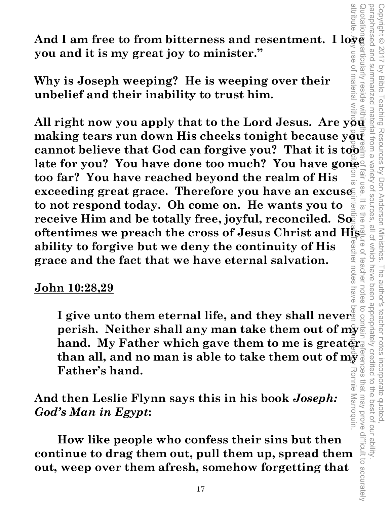And I am free to from bitterness and resentment. I lo<del>v</del>e **you and it is my great joy to minister."** 

**Why is Joseph weeping? He is weeping over their unbelief and their inability to trust him.** 

attribute. Any use of material without proper citation is unintentional. Teacher notes have been compiled by Ronnie Marroquin. **All right now you apply that to the Lord Jesus. Are you**  making tears run down His cheeks tonight because you<sup>®</sup> **cannot believe that God can forgive you? That it is too late for you? You have done too much? You have gone too far? You have reached beyond the realm of His exceeding great grace. Therefore you have an excuse to not respond today. Oh come on. He wants you to**  receive Him and be totally free, joyful, reconciled. So **oftentimes we preach the cross of Jesus Christ and Hisp-**<br>ability to forgive but we dony the continuity of His eachel **ability to forgive but we deny the continuity of His grace and the fact that we have eternal salvation.**  LUOLGS

Copyright © 2017 by Bible Teaching Resources by Don Anderson Ministries. The author's teacher notes incorporate quoted,

Teaching Resources by Don Anderson Ministries.

Copyright © 2017 by Bible

materia

paraphrased and summarized material from a variety of sources, all of which have been appropriately credited to the best of our ability.

all of which have

The author's teacher notes incorporate quoted,<br>have been appropriately credited to the best of our ability

Variety of sources

Quotations particularly reside within the valm of fair use. It is the nature of teacher notes to contain references that may prove difficult to accurately

teachel

notes nave

**Ces** 

 $\circ$ 

 $\overline{\omega}$ 

#### **John 10:28,29**

I give unto them eternal life, and they shall never **perish. Neither shall any man take them out of my hand. My Father which gave them to me is greater. than all, and no man is able to take them out of my Father's hand.**  Ronne Marroquin that may prove difficult to accurately

**And then Leslie Flynn says this in his book** *Joseph: God's Man in Egypt***:** 

 **How like people who confess their sins but then continue to drag them out, pull them up, spread them out, weep over them afresh, somehow forgetting that**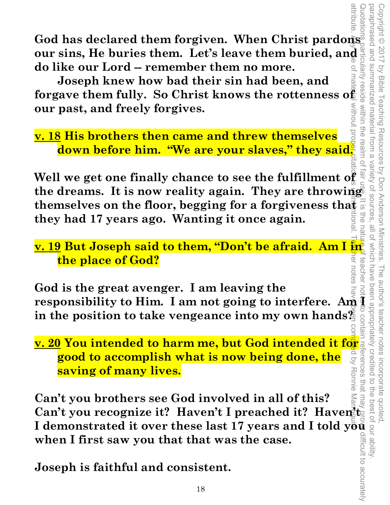**God has declared them forgiven. When Christ pardons our sins, He buries them. Let's leave them buried, and do like our Lord -- remember them no more.** 

 **Joseph knew how bad their sin had been, and forgave them fully. So Christ knows the rottenness of our past, and freely forgives.** 

**v. 18 His brothers then came and threw themselves down before him. "We are your slaves," they said.** 

**Well we get one finally chance to see the fulfillment of the dreams. It is now reality again. They are throwing themselves on the floor, begging for a forgiveness that**  $\frac{1}{6}$  **they had 17 years ago. Wanting it once again. they had 17 years ago. Wanting it once again.**  attribute. Any use of material without proper citation is unintentional. Teacher notes have been changed by Ronnie Marroquin. Only Ronnie Marroquin.

**<u>v. 19</u> But Joseph said to them, "Don't be afraid. Am I in the place of God?**  notes

**God is the great avenger. I am leaving the**  God is the great avenger. I am leaving the<br>
responsibility to Him. I am not going to interfere. Am  $\frac{3}{4}$  is<br>
in the position to take vengeance into my own hands<br>  $\frac{3}{4}$   $\frac{3}{8}$   $\frac{3}{8}$   $\frac{3}{8}$   $\frac{3}{8}$   $\frac{3$ **in the position to take vengeance into my own hands?** 

**<u>v. 20</u> You intended to harm me, but God intended it for**  $\frac{1}{2}$  **good to accomplish what is now being done, the**  $\frac{1}{2}$  $\frac{1}{2}$  **saving of many lives. good to accomplish what is now being done, the saving of many lives.** 

**ISONALLY AND SERVING SAVING OF MANY IVES.**<br> **IMPORT MANY IVES.**<br>
Can't you brothers see God involved in all of this?<br>
Can't you recognize it? Haven't I preached it? Haven<sup>3</sup> is a starting the starting of  $\frac{1}{2}$ <br> **I** de **Can't you brothers see God involved in all of this?**  ma **Can't you recognize it? Haven't I preached it? Haven't when I first saw you that that was the case.** 

**Joseph is faithful and consistent.** 

**MILDOUT**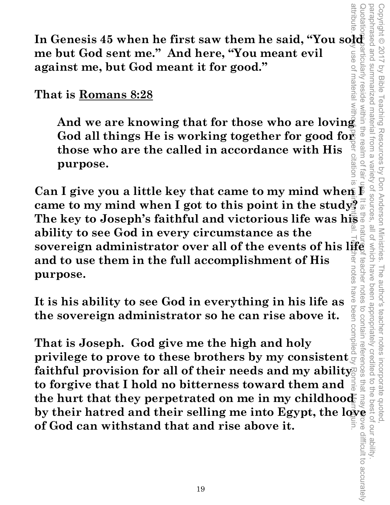**In Genesis 45 when he first saw them he said, "You sold as a me but God sent me." And here, "You meant evil me but God sent me." And here, "You meant evil against me, but God meant it for good."** 

**That is Romans 8:28**

That is <u>Romans 8:28</u><br>
And we are knowing that for those who are loving<br>
God all things He is working together for good for  $\frac{1}{2}$ <br>
those who are the called in accordance with His<br>
purpose.<br>
Can I give you a little key **And we are knowing that for those who are loving**  God all things He is working together for good for **those who are the called in accordance with His**   $\overline{O}$ **purpose.** 

Quotations particularly reside within the realm of fair use. It is the nature of teacher notes to contain references that may prove difficult to accurately  $\overline{\varpi}$ **came to my mind when I got to this point in the study? The key to Joseph's faithful and victorious life was his solution** and to see God in every circumstance as the<br>sovereign administrator over all of the events of his life<br>and to use them in the full accomplishment of His<br>purpose. **ability to see God in every circumstance as the and to use them in the full accomplishment of His**  teachel notes **purpose.** 

Copyright © 2017 by Bible Teaching Resources by Don Anderson Ministries. The author's teacher notes incorporate quoted,

The author's teacher notes

incorporate quoted  $\overline{a}$ 

been appropriately credited

notes

to contain references

that ma o the Teaching Resources by Don Anderson Ministries.

paraphrased and summarized material from a variety of sources, all of which have been appropriately credited to the best of our ability.

Variety of sources.

paraphrased and

summarized material from a

use or materia

Copyright © 2017 by Bible

**It is his ability to see God in everything in his life as the sovereign administrator so he can rise above it.**  It is his ability to see God in everything in his life as  $\frac{1}{8}$  the sovereign administrator so he can rise above it.<br>That is Joseph. God give me the high and holy privilege to prove to these brothers by my consistent

**That is Joseph. God give me the high and holy**  faithful provision for all of their needs and my ability **to forgive that I hold no bitterness toward them and the hurt that they perpetrated on me in my childhood by their hatred and their selling me into Egypt, the love of God can withstand that and rise above it.**  attribute. Any use of material without proper citation is unintentional. Teacher notes have been compiled by Ronnie Marroquin.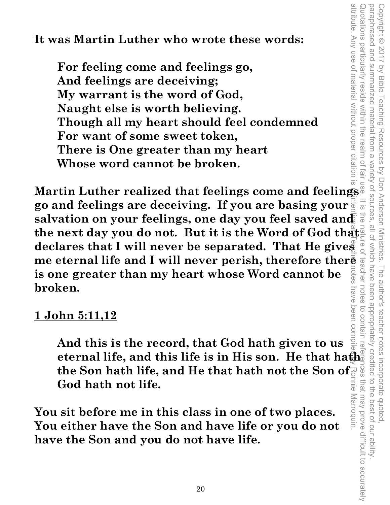**It was Martin Luther who wrote these words:** 

 **For feeling come and feelings go, And feelings are deceiving; My warrant is the word of God, Naught else is worth believing. Though all my heart should feel condemned For want of some sweet token, There is One greater than my heart Whose word cannot be broken.** 

**Martin Luther realized that feelings come and feelings go and feelings are deceiving. If you are basing your**  salvation on your feelings, one day you feel saved and **the next day you do not. But it is the Word of God that declares that I will never be separated. That He gives me eternal life and I will never perish, therefore thereor**<br>is one greater than my heart whose Word cannot be **is one greater than my heart whose Word cannot be broken.**  attribute. Any use of material without proper citation is unintentional. Teacher notes have been compiled by Ronnie Marroquin.

Copyright © 2017 by Bible Teaching Resources by Don Anderson Ministries. The author's teacher notes incorporate quoted,

paraphrased and summarized material from a variety of sources, all of which have been appropriately credited to the best of our ability.

Copyright © 2017 by Bible Teaching Resources by Don Anderson Ministries. The author's teacher notes incorporate quoted,<br>paraphrased and summarized material from a variety of sources, all of which have been appropriately c

Quotations particularly reside within the realm of fair use. It is the nature of teacher notes to contain references that may prove difficult to accurately

rces that may prove difficult to accurately

 $rac{1}{\sqrt{2}}$ 

### **1 John 5:11,12**

**And this is the record, that God hath given to us eternal life, and this life is in His son. He that hath the Son hath life, and He that hath not the Son of God hath not life.** 

**You sit before me in this class in one of two places. You either have the Son and have life or you do not have the Son and you do not have life.**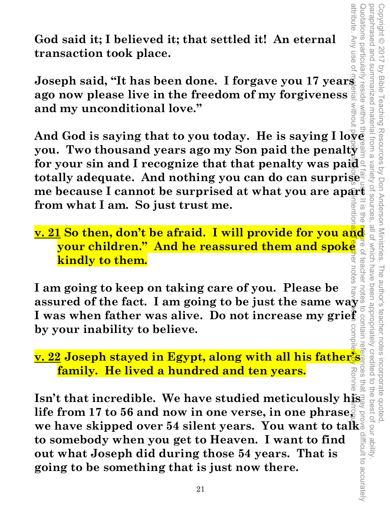Quotations particularly reside within the realm of fair use. It is the neture of teacher notes to contain references that may prove difficult to accurately paraphrased and paraphrased and summarized material from a variety of sources, all of which have been appropriately credited to the best of our ability. Copyright © 2017 by Bible Teaching Resources by Don Anderson Ministries. The author's teacher notes incorporate quoted, Copyright © 2017 votations particularly summarized material from a Vy Bible Teaching Resources by Don Anderson Ministries. vanety teachel The author's teacher notes incorporate quoted,<br>have been appropriately credited to the best of our ability pes that

attribute. Any use o

**God said it; I believed it; that settled it! An eternal transaction took place.** 

**Joseph said, "It has been done. I forgave you 17 years ago now please live in the freedom of my forgiveness and my unconditional love."** 

And God is saying that to you today. He is saying I  $\log \bar{e}$ **you. Two thousand years ago my Son paid the penalty for your sin and I recognize that that penalty was paid totally adequate. And nothing you can do can surprise me because I cannot be surprised at what you are apart from what I am. So just trust me. from what I am. So just trust me.**  attribute. Any use of material without poper citation is unitention and teacher notes have been compiled by Ronnie Marroquin. Any use of material without proper compiled by Ronnie Marroquin.

**<u>v. 21</u> So then, don't be afraid. I will provide for you and**  $\frac{a}{b}$  **will provide for you and**  $\frac{a}{c}$  **whildren." And he reassured them and spoke**  $\frac{a}{c}$  **and**  $\frac{b}{c}$  **and**  $\frac{c}{c}$  **and**  $\frac{c}{c}$  **and**  $\frac{c}{c}$  **and \ your children." And he reassured them and spoke kindly to them.** 

notes **I am going to keep on taking care of you. Please be 1** am going to keep on taking care of you. Please be assured of the fact. I am going to be just the same way  $\frac{3}{5}$  I was when father was alive. Do not increase my grief by your inability to believe. **I was when father was alive. Do not increase my grief by your inability to believe.** 

**<u>v. 22</u> Joseph stayed in Egypt, along with all his father</u> family. He lived a hundred and ten years.** 

Isn't that incredible. We have studied meticulously his. **life from 17 to 56 and now in one verse, in one phrase, we have skipped over 54 silent years. You want to talk to somebody when you get to Heaven. I want to find out what Joseph did during those 54 years. That is going to be something that is just now there.**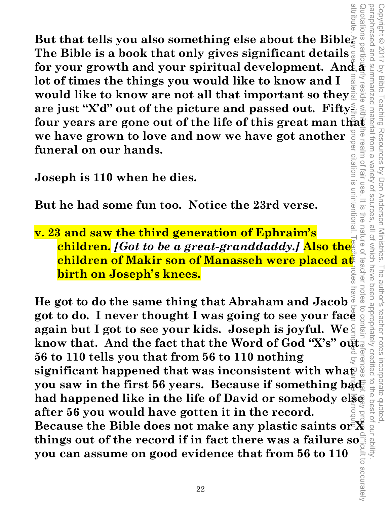**But that tells you also something else about the Bible. The Bible is a book that only gives significant details for your growth and your spiritual development. And**  $\hat{\mathbf{a}}$  $\hat{\mathbf{a}}$  **is a lot of times the things you would like to know and I would like to know are not all that important so they**  $\hat{\mathbf{a}}$  **is a space just "X'd" o for your growth and your spiritual development. And a lot of times the things you would like to know and I would like to know are not all that important so they are just "X'd" out of the picture and passed out. Fiftywe have grown to love and now we have got another funeral on our hands.**  citation is unintentiona

**Joseph is 110 when he dies.** 

**But he had some fun too. Notice the 23rd verse.** 

**v. 23 and saw the third generation of Ephraim's children.** *[Got to be a great-granddaddy.]* **Also the children of Makir son of Manasseh were placed at birth on Joseph's knees.** 

Copyright © 2017 by Bible Teaching Resources by Don Anderson Ministries. The author's teacher notes incorporate quoted,

The author's teacher notes

incorporate quoted  $\overrightarrow{C}$ **SUIS** 

been appropriately creditec

Teaching Resources by Don Anderson Ministries.

paraphrased and summarized material from a variety of sources, all of which have been appropriately credited to the best of our ability.

all of which have

variety of sources fair use

paraphrased and Copyright © 2017

Vy Bible

suotations

**resid** 

le rea

llm of

 $=$   $\frac{1}{2}$ 

ite<br>S

nature

teachel

attribute. Any use of material without proper citation is unintentional. Teacher notes have been computed by Ronnie Marroquin. Quotations particularly reside within the realm of fair use. It is the nature of teacher notes to contain references that may prove difficult to accurately notes **He got to do the same thing that Abraham and Jacob**  got to do. I never thought I was going to see your face  $\frac{1}{2}$  again but I got to see your kids. Joseph is joyful. We **again but I got to see your kids. Joseph is joyful. We**  know that. And the fact that the Word of God "X's" out **56 to 110 tells you that from 56 to 110 nothing significant happened that was inconsistent with what you saw in the first 56 years. Because if something badent had happened like in the life of David or somebody else Because the Bible does not make any plastic saints or X<br>
Because the Bible does not make any plastic saints or X<br>
things out of the record if in fact there was a failure so after 56 you would have gotten it in the record. things out of the record if in fact there was a failure so**  $\frac{1}{3}$ **<br>you can assume on good evidence that from 56 to 110<br>** $\frac{1}{3}$ **you can assume on good evidence that from 56 to 110**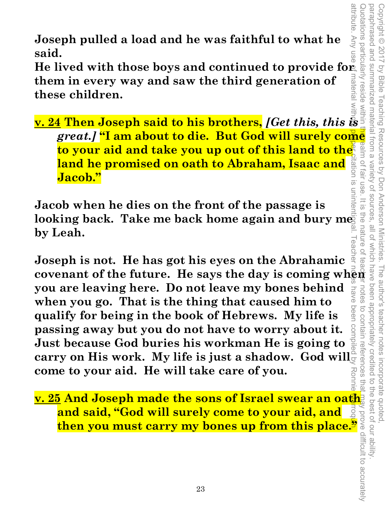**Joseph pulled a load and he was faithful to what he said.** 

**v. 24 Then Joseph said to his brothers,** *[Get this, this* **is a said.<br>
v. 24 Then Joseph said to his brothers,** *[Get this, this* **is <b>a** said. **He lived with those boys and continued to provide for them in every way and saw the third generation of**  nateria **these children.** 

**Example 1 pulled a load and he was faithful to what he**<br> **great.**<br> **lived with those boys and continued to provide for a simple<br>
in in every way and saw the third generation of<br>
se children.<br>
<b>4 Then Joseph said to his br to your aid and take you up out of this land to the land he promised on oath to Abraham, Isaac and**  si uoitet **Jacob."** 

**Jacob when he dies on the front of the passage is**  looking back. Take me back home again and bury me  $\bar{\mathrm{s}}$ **by Leah.** 

attribute. Any use of material without proper citation is unintentional. Teacher notes have been compiled by Ronnie Marroquin. **I eache Joseph is not. He has got his eyes on the Abrahamic covenant of the future. He says the day is coming when you are leaving here. Do not leave my bones behind**   $\leq$ **when you go. That is the thing that caused him to qualify for being in the book of Hebrews. My life is passing away but you do not have to worry about it. Just because God buries his workman He is going to carry on His work. My life is just a shadow. God will come to your aid. He will take care of you.** 

**v. 25 And Joseph made the sons of Israel swear an oath and said, "God will surely come to your aid, and then you must carry my bones up from this place."**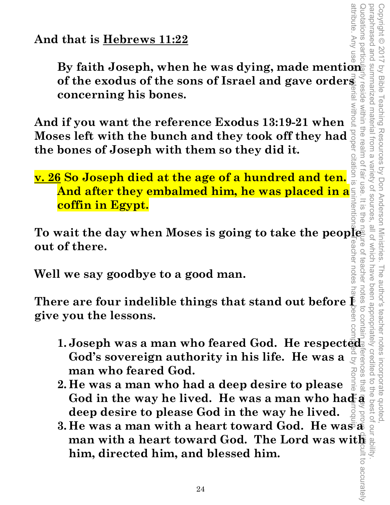**And that is Hebrews 11:22**

**By faith Joseph, when he was dying, made mention and all and that is Hebrews 11:22 of the exodus of the sons of Israel and gave orders**  reside within the realm of **concerning his bones.** 

**And if you want the reference Exodus 13:19-21 when Moses left with the bunch and they took off they had the bones of Joseph with them so they did it.**  0112110

**v. 26 So Joseph died at the age of a hundred and ten. And after they embalmed him, he was placed in a coffin in Egypt.** 

To wait the day when Moses is going to take the peopless<br>out of there. eacher notes **out of there.** 

Copyright © 2017 by Bible Teaching Resources by Don Anderson Ministries. The author's teacher notes incorporate quoted,

Copyright © 2017 by Bible Teaching Resources by Don Anderson Ministries.

summarized material from a

paraphrased and summarized material from a variety of sources, all of which have been appropriately credited to the best of our ability.

all of which have

teache

notes to contair

variety of sources fair use.

 $rac{1}{\sqrt{2}}$ ntentio ite<br>S paraphrased and

**Well we say goodbye to a good man.** 

There are four indelible things that stand out before  $\tilde{\mathbb{P}}$ **give you the lessons.** 

- **1. Joseph was a man who feared God. He respected God's sovereign authority in his life. He was a**  $\frac{1}{2}$  **or**  $\frac{1}{2}$  **man who feared God. God's sovereign authority in his life. He was a man who feared God.**  attribute. Any use of material without proper citation is unintentional. Teacher notes have been compiled by Ronnie Marroquin.
- **2. He was a man who had a deep desire to please Example 10 Example 10 Example 10 Example 10 Example 10 Coding the lessons.**<br> **Example 10 Example 10 Example 10 Coding 10 Example 10 Coding 10 Example 10 Coding 10 Coding 10 Coding 10 Coding deep desire to please God in the way he lived.**
- **3. He was a man with a heart toward God. He was**  $\mathbf{\bar{s}}$ **man with a heart toward God. The Lord was with him, directed him, and blessed him.**<br>
<br>  $\begin{array}{r} \text{if} \begin{array}{c} \text{if} \begin{array}{c} \text{if} \begin{array}{c} \text{if} \begin{array}{c} \text{if} \begin{array}{c} \text{if} \begin{array}{c} \text{if} \begin{array}{c} \text{if} \begin{array}{c} \text{if} \begin{array}{c} \text{if} \begin{array}{c} \text{if} \$ **him, directed him, and blessed him.**  Quotations particularly reside within the realm of fair use. It is the nature of teacher notes to contain references that may prove difficult to accurately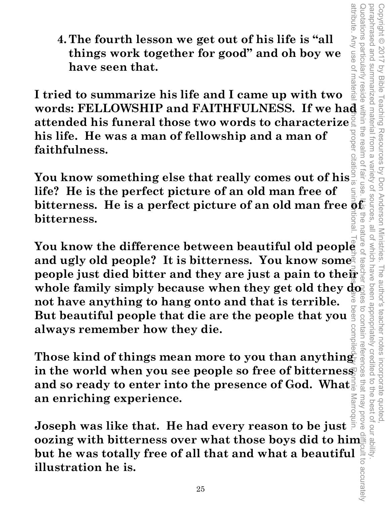**4. The fourth lesson we get out of his life is "all things work together for good" and oh boy we have seen that.** 

attribute. Any use of materia **I tried to summarize his life and I came up with two**  words: FELLOWSHIP and FAITHFULNESS. If we had<br>attended his funeral those two words to characterize<br>his life. He was a man of fellowship and a man of<br>faithfulness. **attended his funeral those two words to characterize his life. He was a man of fellowship and a man of faithfulness.** 

**You know something else that really comes out of his life? He is the perfect picture of an old man free of bitterness. He is a perfect picture of an old man free**  $\frac{1}{9}$ **<b>f**  $\frac{1}{9}$  **bitterness. bitterness.** 

You know the difference between beautiful old people and ugly old people? It is bitterness. You know some<sup>®</sup> **people just died bitter and they are just a pain to their**  whole family simply because when they get old they do **not have anything to hang onto and that is terrible. But beautiful people that die are the people that you always remember how they die.**  attribute. Any use of material without proper citation is unintentional. Teacher notes have been compiled by Ronnie Marroquin.

**Those kind of things mean more to you than anything in the world when you see people so free of bitterness and so ready to enter into the presence of God. What an enriching experience.** 

**Joseph was like that. He had every reason to be just oozing with bitterness over what those boys did to him but he was totally free of all that and what a beautiful illustration he is.**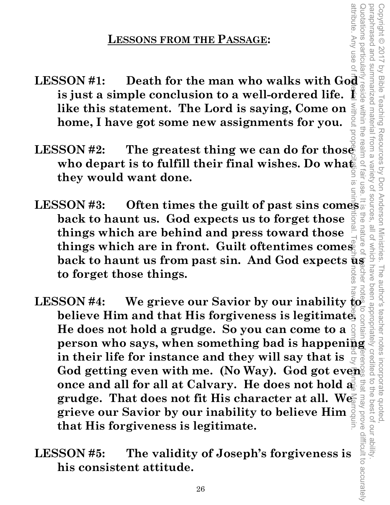# **LESSONS FROM THE PASSAGE:**

- **LESSONS FROM THE PASSAGE:**<br> **LESSON #1:** Death for the man who walks with God a simple conclusion to a well-ordered life. If  $\frac{2}{5}$ **is just a simple conclusion to a well-ordered life. like this statement. The Lord is saying, Come on home, I have got some new assignments for you.**
- **LESSON #2: The greatest thing we can do for those**  who depart is to fulfill their final wishes. Do what **they would want done.**
- **LESSON #3: Often times the guilt of past sins comes back to haunt us. God expects us to forget those things which are behind and press toward those things which are in front. Guilt oftentimes comes back to haunt us from past sin. And God expects usin** to forget those things. **to forget those things.**

Copyright © 2017 by Bible Teaching Resources by Don Anderson Ministries. The author's teacher notes incorporate quoted,

Teaching Resources by Don Anderson Ministries.

paraphrased and summarized material from a variety of sources, all of which have been appropriately credited to the best of our ability.

Which have

The author's teacher notes

incorporate quoted

the best of our ability

all of

Quotations particularly reside within the realm of fair use. It is the nature of teacher notes to contain references that may prove difficult to accurately

FUG

attribute. Any use o

paraphrased and Copyright © 2017

summarized materia

Trom a realm

Variety of sources

within the

**by Bible** 

attribute. Any use of material without proper citation is unintentional. Teacher notes have been compiled by Ronnie Marroquin. LESSON #4: We grieve our Savior by our inability  $\overline{\mathbf{g}}_{\mathbf{g}}^{\mathbf{g}}$ <br>believe Him and that His forgiveness is legitimate  $\mathbf{g}_{\mathbf{g}}^{\mathbf{g}}$ <br>He does not hold a grudge. So you can come to a  $\frac{3}{2}$ **PERTURN 44:** We grieve our Savior by our inability  $\overrightarrow{p}$   $\overrightarrow{p}$  and believe Him and that His forgiveness is legitimate  $\overrightarrow{p}$   $\overrightarrow{p}$  and  $\overrightarrow{p}$   $\overrightarrow{p}$  and  $\overrightarrow{p}$   $\overrightarrow{p}$  and  $\overrightarrow{p}$   $\overrightarrow{p}$  and  $\overrightarrow{p}$ **believe Him and that His forgiveness is legitimate. He does not hold a grudge. So you can come to a in their life for instance and they will say that is**  God getting even with me. (No Way). God got even **once and all for all at Calvary. He does not hold a grudge. That does not fit His character at all. We**  may prove difficult to accurately **grieve our Savior by our inability to believe Him that His forgiveness is legitimate.** 

**LESSON #5: The validity of Joseph's forgiveness is his consistent attitude.**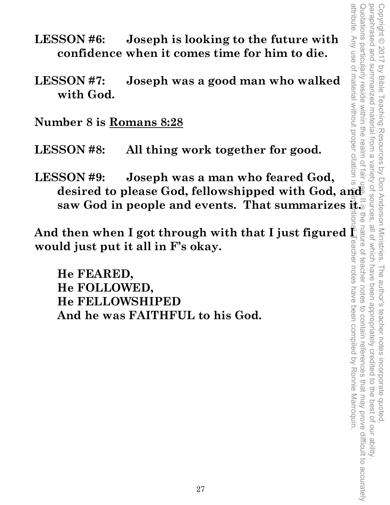- attribute. Any use of material without proper citation is unintentional. Teacher notes have been compiled by Ronnie Marroquin. Quotations particularly reside within the realm of fair use. It is the nature of teacher notes to contain references that may prove difficult to accurately paraphrased and summarized material from a variety of sources, all of which have been appropriately credited to the best of our ability paraphrased and summarized material from a variety of sources, all of which have been appropriately credited to the best of our ability. Copyright © 2017 by Bible Teaching Resources by Don Anderson Ministries. The author's teacher notes incorporate quoted Copyright © 2017 by Bible Teaching Resources by Don Anderson Ministries. The author's teacher notes incorporate quoted,
- **LESSON #6: Joseph is looking to the future with confidence when it comes time for him to die.**
- **LESSON #7: Joseph was a good man who walked with God.**

**Number 8 is Romans 8:28**

**LESSON #8: All thing work together for good.** 

**LESSON #9: Joseph was a man who feared God, desired to please God, fellowshipped with God, and** 

**would just put it all in F's okay.** 

saw God in people and events. That summarizes is a straight of the model of through with that I just figured in the solution of the solution of the solution of the solution of the solution of the FEARED, He FELLOWSHIPED An And then when I got through with that I just figured  $\frac{1}{2}$ <br>would just put it all in F's okay.<br>
He FEARED,<br>
He FOLLOWED,<br>
He FELLOWSHIPED<br>
And he was FAITHFUL to his God.<br>  $\frac{1}{2}$ <br>  $\frac{1}{2}$ <br>  $\frac{1}{2}$ <br>  $\frac{1}{2}$ <br>  $\$  **He FEARED, He FOLLOWED, He FELLOWSHIPED And he was FAITHFUL to his God.**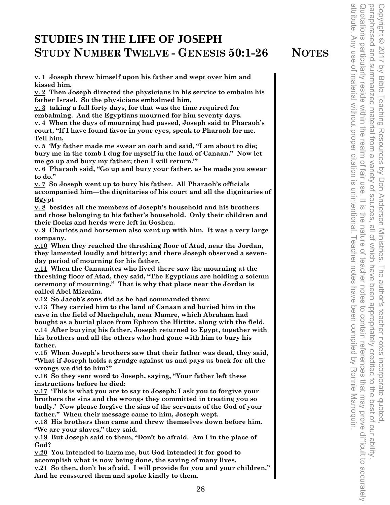#### **STUDIES IN THE LIFE OF JOSEPH STUDY NUMBER TWELVE - GENESIS 50:1-26 NOTES**

**v. 1 Joseph threw himself upon his father and wept over him and kissed him.** 

**v. 2 Then Joseph directed the physicians in his service to embalm his father Israel. So the physicians embalmed him,** 

**v. 3 taking a full forty days, for that was the time required for embalming. And the Egyptians mourned for him seventy days. v. 4 When the days of mourning had passed, Joseph said to Pharaoh's court, "If I have found favor in your eyes, speak to Pharaoh for me. Tell him,** 

**v. 5 'My father made me swear an oath and said, "I am about to die; bury me in the tomb I dug for myself in the land of Canaan." Now let me go up and bury my father; then I will return.'"** 

**v. 6 Pharaoh said, "Go up and bury your father, as he made you swear to do."** 

**v. 7 So Joseph went up to bury his father. All Pharaoh's officials accompanied him—the dignitaries of his court and all the dignitaries of Egypt—** 

**v. 8 besides all the members of Joseph's household and his brothers and those belonging to his father's household. Only their children and their flocks and herds were left in Goshen.** 

**v. 9 Chariots and horsemen also went up with him. It was a very large company.** 

**v.10 When they reached the threshing floor of Atad, near the Jordan, they lamented loudly and bitterly; and there Joseph observed a sevenday period of mourning for his father.** 

**v.11 When the Canaanites who lived there saw the mourning at the threshing floor of Atad, they said, "The Egyptians are holding a solemn ceremony of mourning." That is why that place near the Jordan is called Abel Mizraim.** 

**v.12 So Jacob's sons did as he had commanded them:** 

**v.13 They carried him to the land of Canaan and buried him in the cave in the field of Machpelah, near Mamre, which Abraham had bought as a burial place from Ephron the Hittite, along with the field. v.14 After burying his father, Joseph returned to Egypt, together with his brothers and all the others who had gone with him to bury his father.** 

**v.15 When Joseph's brothers saw that their father was dead, they said, "What if Joseph holds a grudge against us and pays us back for all the wrongs we did to him?"** 

**v.16 So they sent word to Joseph, saying, "Your father left these instructions before he died:** 

**v.17 'This is what you are to say to Joseph: I ask you to forgive your brothers the sins and the wrongs they committed in treating you so badly.' Now please forgive the sins of the servants of the God of your father." When their message came to him, Joseph wept.** 

**v.18 His brothers then came and threw themselves down before him. "We are your slaves," they said.** 

**v.19 But Joseph said to them, "Don't be afraid. Am I in the place of God?** 

**v.20 You intended to harm me, but God intended it for good to accomplish what is now being done, the saving of many lives. v.21 So then, don't be afraid. I will provide for you and your children." And he reassured them and spoke kindly to them.** 

28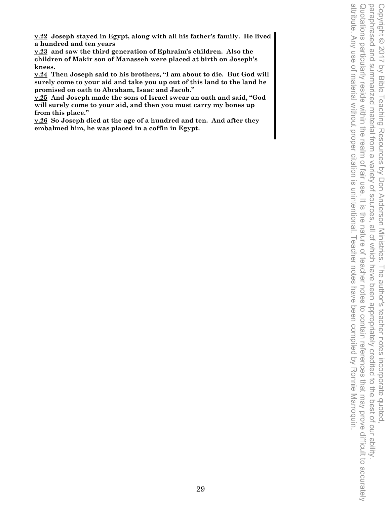**v.22 Joseph stayed in Egypt, along with all his father's family. He lived a hundred and ten years** 

**v.23 and saw the third generation of Ephraim's children. Also the children of Makir son of Manasseh were placed at birth on Joseph's knees.** 

**v.24 Then Joseph said to his brothers, "I am about to die. But God will surely come to your aid and take you up out of this land to the land he promised on oath to Abraham, Isaac and Jacob."** 

**v.25 And Joseph made the sons of Israel swear an oath and said, "God will surely come to your aid, and then you must carry my bones up from this place."** 

**v.26 So Joseph died at the age of a hundred and ten. And after they embalmed him, he was placed in a coffin in Egypt.**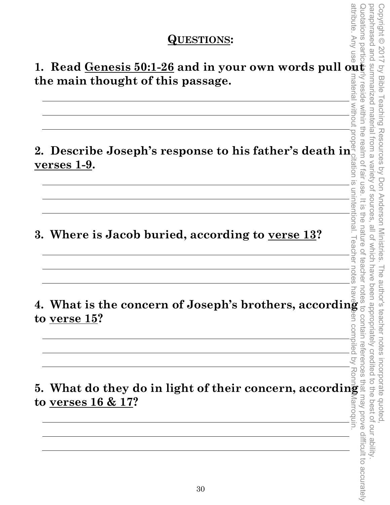#### **QUESTIONS:**

1. Read <u>Genesis 50:1-26</u> and in your own words pull out **the main thought of this passage.**  nateria

**2. Describe Joseph's response to his father's death in** rtation is **verses 1-9.** 

**3. Where is Jacob buried, according to verse 13?** 

**4. What is the concern of Joseph's brothers, according to verse 15?** 

attribute. Any use of material without proper citation is unintentional. Teacher notes have been compiled by Ronnic Any use of material without proper citation is unintentional. Teacher notes have been compiled by Ronnic M **5. What do they do in light of their concern, according to verses 16 & 17? to verses 16 & 17?**  Marroquin

unintentional.

I eacher notes

 $\overline{Q}$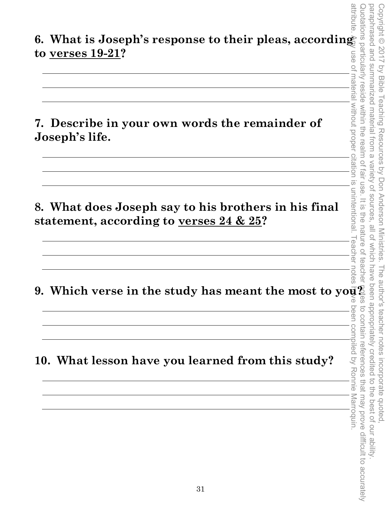| 6. What is Joseph's response to their pleas, according |   |
|--------------------------------------------------------|---|
| to verses $19\hbox{-}21?$                              | ဖ |

**7. Describe in your own words the remainder of Joseph's life.** 

**8. What does Joseph say to his brothers in his final statement, according to verses 24 & 25?** 

**9. Which verse in the study has meant the most to you?** 

**10. What lesson have you learned from this study?**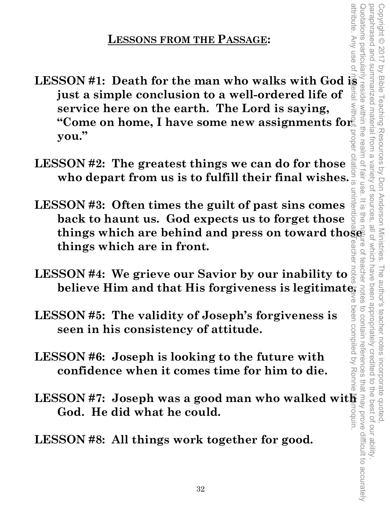# **LESSONS FROM THE PASSAGE:**

- **LESSON #1: Death for the man who walks with God is a simple conclusion to a well-ordered life of a simple service here on the earth. The Lord is saying, "Come on home, I have some new assignments for a simple value." The just a simple conclusion to a well-ordered life of service here on the earth. The Lord is saying, "Come on home, I have some new assignments for**  prope **you."**
- **LESSON #2: The greatest things we can do for those who depart from us is to fulfill their final wishes.**
- attribute. Any use of material without proper citation is unintentional. Teacher notes have been compiled by Ronnie Marroquin. uninter **LESSON #3: Often times the guilt of past sins comes back to haunt us. God expects us to forget those**  things which are behind and press on toward thoses things which are in front. **things which are in front.**
- **LESSON #4: We grieve our Savior by our inability to believe Him and that His forgiveness is legitimate.**  ≲
- **LESSON #5: The validity of Joseph's forgiveness is seen in his consistency of attitude.**
- **LESSON #6: Joseph is looking to the future with confidence when it comes time for him to die.**
- **LESSON #7: Joseph was a good man who walked with**  rroquin **God. He did what he could.**

**LESSON #8: All things work together for good.** 

Quotations particularly reside within the realm of fair use. It is the nature of teacher notes to contain references that may prove difficult to accurately

teacher

ಸ

fair use.

 $\frac{1}{2}$ 

attribute. Any use o

paraphrased and